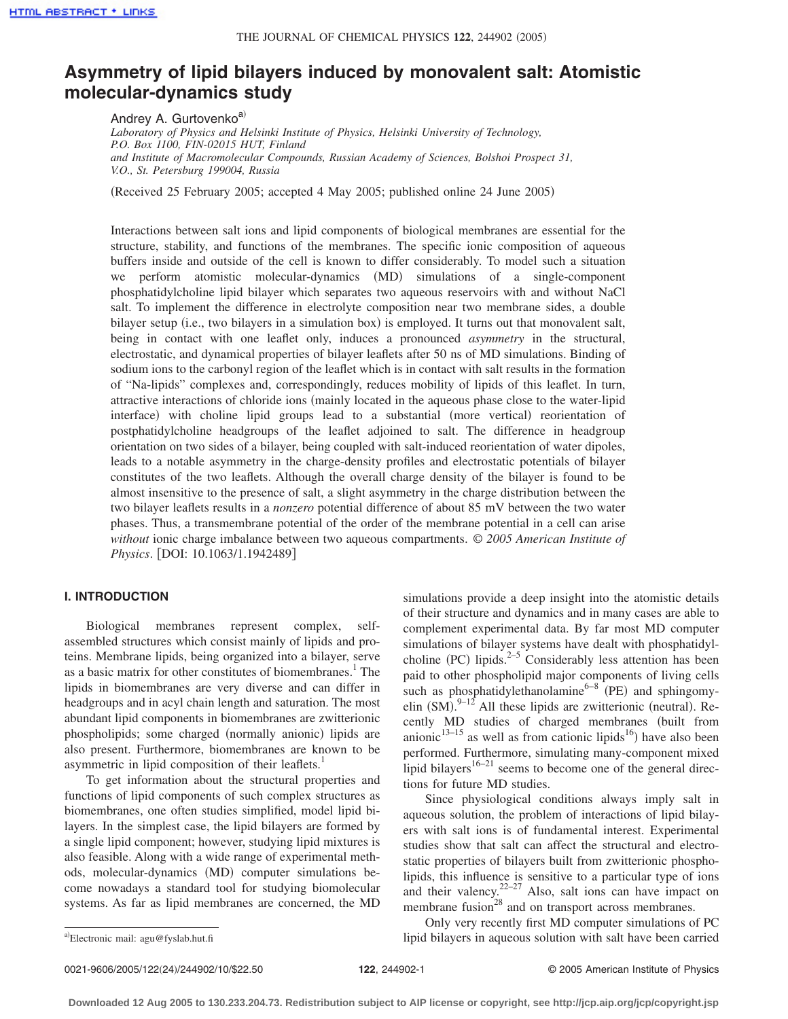# **Asymmetry of lipid bilayers induced by monovalent salt: Atomistic molecular-dynamics study**

Andrey A. Gurtovenko<sup>a)</sup>

*Laboratory of Physics and Helsinki Institute of Physics, Helsinki University of Technology, P.O. Box 1100, FIN-02015 HUT, Finland and Institute of Macromolecular Compounds, Russian Academy of Sciences, Bolshoi Prospect 31, V.O., St. Petersburg 199004, Russia*

(Received 25 February 2005; accepted 4 May 2005; published online 24 June 2005)

Interactions between salt ions and lipid components of biological membranes are essential for the structure, stability, and functions of the membranes. The specific ionic composition of aqueous buffers inside and outside of the cell is known to differ considerably. To model such a situation we perform atomistic molecular-dynamics (MD) simulations of a single-component phosphatidylcholine lipid bilayer which separates two aqueous reservoirs with and without NaCl salt. To implement the difference in electrolyte composition near two membrane sides, a double bilayer setup (i.e., two bilayers in a simulation box) is employed. It turns out that monovalent salt, being in contact with one leaflet only, induces a pronounced *asymmetry* in the structural, electrostatic, and dynamical properties of bilayer leaflets after 50 ns of MD simulations. Binding of sodium ions to the carbonyl region of the leaflet which is in contact with salt results in the formation of "Na-lipids" complexes and, correspondingly, reduces mobility of lipids of this leaflet. In turn, attractive interactions of chloride ions (mainly located in the aqueous phase close to the water-lipid interface) with choline lipid groups lead to a substantial (more vertical) reorientation of postphatidylcholine headgroups of the leaflet adjoined to salt. The difference in headgroup orientation on two sides of a bilayer, being coupled with salt-induced reorientation of water dipoles, leads to a notable asymmetry in the charge-density profiles and electrostatic potentials of bilayer constitutes of the two leaflets. Although the overall charge density of the bilayer is found to be almost insensitive to the presence of salt, a slight asymmetry in the charge distribution between the two bilayer leaflets results in a *nonzero* potential difference of about 85 mV between the two water phases. Thus, a transmembrane potential of the order of the membrane potential in a cell can arise *without* ionic charge imbalance between two aqueous compartments. © *2005 American Institute of Physics.* [DOI: 10.1063/1.1942489]

## **I. INTRODUCTION**

Biological membranes represent complex, selfassembled structures which consist mainly of lipids and proteins. Membrane lipids, being organized into a bilayer, serve as a basic matrix for other constitutes of biomembranes.<sup>1</sup> The lipids in biomembranes are very diverse and can differ in headgroups and in acyl chain length and saturation. The most abundant lipid components in biomembranes are zwitterionic phospholipids; some charged (normally anionic) lipids are also present. Furthermore, biomembranes are known to be asymmetric in lipid composition of their leaflets.<sup>1</sup>

To get information about the structural properties and functions of lipid components of such complex structures as biomembranes, one often studies simplified, model lipid bilayers. In the simplest case, the lipid bilayers are formed by a single lipid component; however, studying lipid mixtures is also feasible. Along with a wide range of experimental methods, molecular-dynamics (MD) computer simulations become nowadays a standard tool for studying biomolecular systems. As far as lipid membranes are concerned, the MD

simulations provide a deep insight into the atomistic details of their structure and dynamics and in many cases are able to complement experimental data. By far most MD computer simulations of bilayer systems have dealt with phosphatidylcholine (PC) lipids. $2-5$  Considerably less attention has been paid to other phospholipid major components of living cells such as phosphatidylethanolamine $6-8$  (PE) and sphingomyelin  $(SM)$ .<sup>9-12</sup> All these lipids are zwitterionic (neutral). Recently MD studies of charged membranes (built from anionic<sup>13–15</sup> as well as from cationic lipids<sup>16</sup>) have also been performed. Furthermore, simulating many-component mixed lipid bilayers<sup>16–21</sup> seems to become one of the general directions for future MD studies.

Since physiological conditions always imply salt in aqueous solution, the problem of interactions of lipid bilayers with salt ions is of fundamental interest. Experimental studies show that salt can affect the structural and electrostatic properties of bilayers built from zwitterionic phospholipids, this influence is sensitive to a particular type of ions and their valency. $22-27$  Also, salt ions can have impact on membrane fusion<sup>28</sup> and on transport across membranes.

Only very recently first MD computer simulations of PC lipid bilayers in aqueous solution with salt have been carried

Electronic mail: agu@fyslab.hut.fi

<sup>0021-9606/2005/122(24)/244902/10/\$22.50</sup>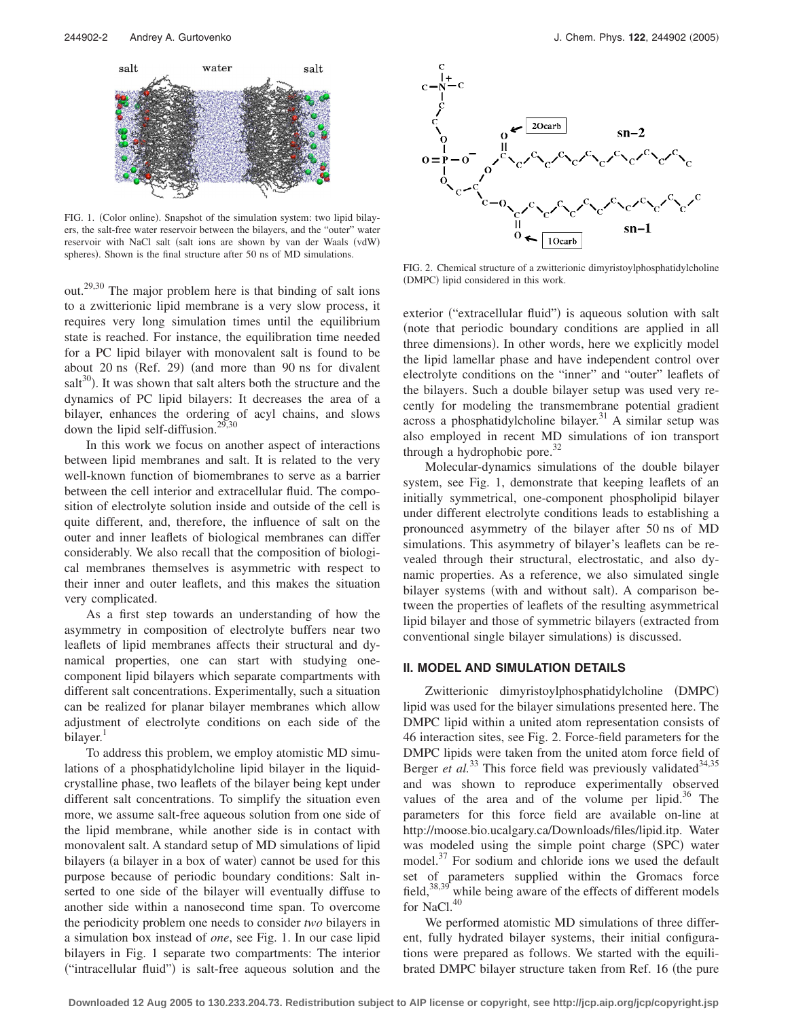

FIG. 1. (Color online). Snapshot of the simulation system: two lipid bilayers, the salt-free water reservoir between the bilayers, and the "outer" water reservoir with NaCl salt (salt ions are shown by van der Waals (vdW) spheres). Shown is the final structure after 50 ns of MD simulations.

out.29,30 The major problem here is that binding of salt ions to a zwitterionic lipid membrane is a very slow process, it requires very long simulation times until the equilibrium state is reached. For instance, the equilibration time needed for a PC lipid bilayer with monovalent salt is found to be about 20 ns (Ref. 29) (and more than 90 ns for divalent salt $30$ ). It was shown that salt alters both the structure and the dynamics of PC lipid bilayers: It decreases the area of a bilayer, enhances the ordering of acyl chains, and slows down the lipid self-diffusion.<sup>29,30</sup>

In this work we focus on another aspect of interactions between lipid membranes and salt. It is related to the very well-known function of biomembranes to serve as a barrier between the cell interior and extracellular fluid. The composition of electrolyte solution inside and outside of the cell is quite different, and, therefore, the influence of salt on the outer and inner leaflets of biological membranes can differ considerably. We also recall that the composition of biological membranes themselves is asymmetric with respect to their inner and outer leaflets, and this makes the situation very complicated.

As a first step towards an understanding of how the asymmetry in composition of electrolyte buffers near two leaflets of lipid membranes affects their structural and dynamical properties, one can start with studying onecomponent lipid bilayers which separate compartments with different salt concentrations. Experimentally, such a situation can be realized for planar bilayer membranes which allow adjustment of electrolyte conditions on each side of the bilayer.<sup>1</sup>

To address this problem, we employ atomistic MD simulations of a phosphatidylcholine lipid bilayer in the liquidcrystalline phase, two leaflets of the bilayer being kept under different salt concentrations. To simplify the situation even more, we assume salt-free aqueous solution from one side of the lipid membrane, while another side is in contact with monovalent salt. A standard setup of MD simulations of lipid bilayers (a bilayer in a box of water) cannot be used for this purpose because of periodic boundary conditions: Salt inserted to one side of the bilayer will eventually diffuse to another side within a nanosecond time span. To overcome the periodicity problem one needs to consider *two* bilayers in a simulation box instead of *one*, see Fig. 1. In our case lipid bilayers in Fig. 1 separate two compartments: The interior ("intracellular fluid") is salt-free aqueous solution and the



FIG. 2. Chemical structure of a zwitterionic dimyristoylphosphatidylcholine (DMPC) lipid considered in this work.

exterior ("extracellular fluid") is aqueous solution with salt note that periodic boundary conditions are applied in all three dimensions). In other words, here we explicitly model the lipid lamellar phase and have independent control over electrolyte conditions on the "inner" and "outer" leaflets of the bilayers. Such a double bilayer setup was used very recently for modeling the transmembrane potential gradient across a phosphatidylcholine bilayer.<sup>31</sup> A similar setup was also employed in recent MD simulations of ion transport through a hydrophobic pore.<sup>32</sup>

Molecular-dynamics simulations of the double bilayer system, see Fig. 1, demonstrate that keeping leaflets of an initially symmetrical, one-component phospholipid bilayer under different electrolyte conditions leads to establishing a pronounced asymmetry of the bilayer after 50 ns of MD simulations. This asymmetry of bilayer's leaflets can be revealed through their structural, electrostatic, and also dynamic properties. As a reference, we also simulated single bilayer systems (with and without salt). A comparison between the properties of leaflets of the resulting asymmetrical lipid bilayer and those of symmetric bilayers (extracted from conventional single bilayer simulations) is discussed.

## **II. MODEL AND SIMULATION DETAILS**

Zwitterionic dimyristoylphosphatidylcholine (DMPC) lipid was used for the bilayer simulations presented here. The DMPC lipid within a united atom representation consists of 46 interaction sites, see Fig. 2. Force-field parameters for the DMPC lipids were taken from the united atom force field of Berger *et al.*<sup>33</sup> This force field was previously validated<sup>34,35</sup> and was shown to reproduce experimentally observed values of the area and of the volume per lipid. $36$  The parameters for this force field are available on-line at http://moose.bio.ucalgary.ca/Downloads/files/lipid.itp. Water was modeled using the simple point charge (SPC) water model.<sup>37</sup> For sodium and chloride ions we used the default set of parameters supplied within the Gromacs force field,  $38.39$  while being aware of the effects of different models for NaCl.<sup>40</sup>

We performed atomistic MD simulations of three different, fully hydrated bilayer systems, their initial configurations were prepared as follows. We started with the equilibrated DMPC bilayer structure taken from Ref. 16 (the pure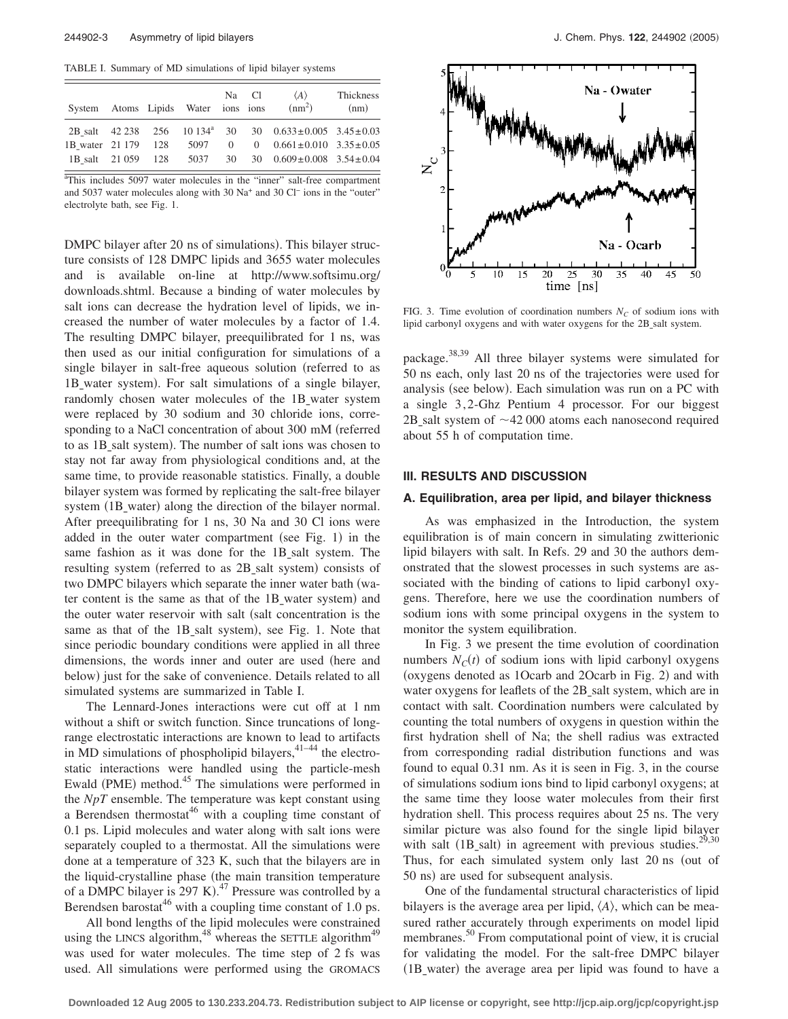TABLE I. Summary of MD simulations of lipid bilayer systems

| System Atoms Lipids Water ions ions |  |    | Na Cl | $\langle A \rangle$<br>$(nm^2)$                                                 | Thickness<br>(nm) |
|-------------------------------------|--|----|-------|---------------------------------------------------------------------------------|-------------------|
|                                     |  |    |       | 2B salt $42\,238$ $256$ $10\,134^a$ $30$ $30$ $0.633 \pm 0.005$ $3.45 \pm 0.03$ |                   |
| 1B water 21 179 128 5097            |  |    |       | 0 0 0.661±0.010 3.35±0.05                                                       |                   |
| 1B salt 21 059 128 5037             |  | 30 |       | 30 $0.609 \pm 0.008$ 3.54 $\pm 0.04$                                            |                   |

<sup>a</sup>This includes 5097 water molecules in the "inner" salt-free compartment and 5037 water molecules along with 30 Na+ and 30 Cl<sup>−</sup> ions in the "outer" electrolyte bath, see Fig. 1.

DMPC bilayer after 20 ns of simulations). This bilayer structure consists of 128 DMPC lipids and 3655 water molecules and is available on-line at http://www.softsimu.org/ downloads.shtml. Because a binding of water molecules by salt ions can decrease the hydration level of lipids, we increased the number of water molecules by a factor of 1.4. The resulting DMPC bilayer, preequilibrated for 1 ns, was then used as our initial configuration for simulations of a single bilayer in salt-free aqueous solution (referred to as 1B\_water system). For salt simulations of a single bilayer, randomly chosen water molecules of the 1B water system were replaced by 30 sodium and 30 chloride ions, corresponding to a NaCl concentration of about 300 mM (referred to as 1B\_salt system). The number of salt ions was chosen to stay not far away from physiological conditions and, at the same time, to provide reasonable statistics. Finally, a double bilayer system was formed by replicating the salt-free bilayer system (1B\_water) along the direction of the bilayer normal. After preequilibrating for 1 ns, 30 Na and 30 Cl ions were added in the outer water compartment (see Fig. 1) in the same fashion as it was done for the 1B salt system. The resulting system (referred to as 2B\_salt system) consists of two DMPC bilayers which separate the inner water bath (water content is the same as that of the 1B\_water system) and the outer water reservoir with salt (salt concentration is the same as that of the 1B\_salt system), see Fig. 1. Note that since periodic boundary conditions were applied in all three dimensions, the words inner and outer are used (here and below) just for the sake of convenience. Details related to all simulated systems are summarized in Table I.

The Lennard-Jones interactions were cut off at 1 nm without a shift or switch function. Since truncations of longrange electrostatic interactions are known to lead to artifacts in  $MD$  simulations of phospholipid bilayers,  $41-44$  the electrostatic interactions were handled using the particle-mesh Ewald (PME) method.<sup>45</sup> The simulations were performed in the *NpT* ensemble. The temperature was kept constant using a Berendsen thermostat $46$  with a coupling time constant of 0.1 ps. Lipid molecules and water along with salt ions were separately coupled to a thermostat. All the simulations were done at a temperature of 323 K, such that the bilayers are in the liquid-crystalline phase (the main transition temperature of a DMPC bilayer is  $297 \text{ K}$ ).<sup>47</sup> Pressure was controlled by a Berendsen barostat<sup>46</sup> with a coupling time constant of 1.0 ps.

All bond lengths of the lipid molecules were constrained using the LINCS algorithm,  $48 \text{ m}$  whereas the SETTLE algorithm<sup>49</sup> was used for water molecules. The time step of 2 fs was used. All simulations were performed using the GROMACS



FIG. 3. Time evolution of coordination numbers  $N_C$  of sodium ions with lipid carbonyl oxygens and with water oxygens for the 2B\_salt system.

package.38,39 All three bilayer systems were simulated for 50 ns each, only last 20 ns of the trajectories were used for analysis (see below). Each simulation was run on a PC with a single 3, 2-Ghz Pentium 4 processor. For our biggest 2B salt system of  $\sim$ 42 000 atoms each nanosecond required about 55 h of computation time.

#### **III. RESULTS AND DISCUSSION**

#### **A. Equilibration, area per lipid, and bilayer thickness**

As was emphasized in the Introduction, the system equilibration is of main concern in simulating zwitterionic lipid bilayers with salt. In Refs. 29 and 30 the authors demonstrated that the slowest processes in such systems are associated with the binding of cations to lipid carbonyl oxygens. Therefore, here we use the coordination numbers of sodium ions with some principal oxygens in the system to monitor the system equilibration.

In Fig. 3 we present the time evolution of coordination numbers  $N_C(t)$  of sodium ions with lipid carbonyl oxygens (oxygens denoted as 1Ocarb and 2Ocarb in Fig. 2) and with water oxygens for leaflets of the 2B\_salt system, which are in contact with salt. Coordination numbers were calculated by counting the total numbers of oxygens in question within the first hydration shell of Na; the shell radius was extracted from corresponding radial distribution functions and was found to equal 0.31 nm. As it is seen in Fig. 3, in the course of simulations sodium ions bind to lipid carbonyl oxygens; at the same time they loose water molecules from their first hydration shell. This process requires about 25 ns. The very similar picture was also found for the single lipid bilayer with salt (1B\_salt) in agreement with previous studies.<sup>29,30</sup> Thus, for each simulated system only last 20 ns (out of 50 ns) are used for subsequent analysis.

One of the fundamental structural characteristics of lipid bilayers is the average area per lipid,  $\langle A \rangle$ , which can be measured rather accurately through experiments on model lipid membranes.<sup>50</sup> From computational point of view, it is crucial for validating the model. For the salt-free DMPC bilayer (1B\_water) the average area per lipid was found to have a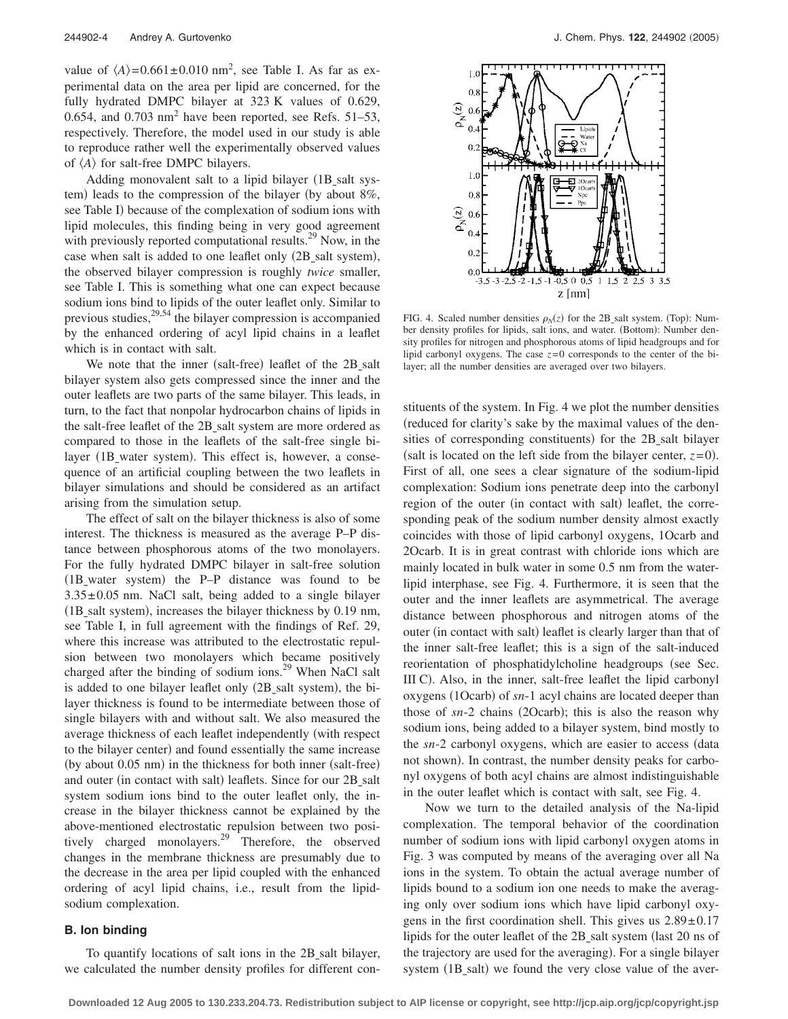value of  $\langle A \rangle = 0.661 \pm 0.010$  nm<sup>2</sup>, see Table I. As far as experimental data on the area per lipid are concerned, for the fully hydrated DMPC bilayer at 323 K values of 0.629, 0.654, and 0.703  $\text{nm}^2$  have been reported, see Refs. 51–53, respectively. Therefore, the model used in our study is able to reproduce rather well the experimentally observed values of  $\langle A \rangle$  for salt-free DMPC bilayers.

Adding monovalent salt to a lipid bilayer (1B salt system) leads to the compression of the bilayer (by about 8%, see Table I) because of the complexation of sodium ions with lipid molecules, this finding being in very good agreement with previously reported computational results.<sup>29</sup> Now, in the case when salt is added to one leaflet only (2B\_salt system), the observed bilayer compression is roughly *twice* smaller, see Table I. This is something what one can expect because sodium ions bind to lipids of the outer leaflet only. Similar to previous studies,  $2^{9,54}$  the bilayer compression is accompanied by the enhanced ordering of acyl lipid chains in a leaflet which is in contact with salt.

We note that the inner (salt-free) leaflet of the 2B\_salt bilayer system also gets compressed since the inner and the outer leaflets are two parts of the same bilayer. This leads, in turn, to the fact that nonpolar hydrocarbon chains of lipids in the salt-free leaflet of the 2B\_salt system are more ordered as compared to those in the leaflets of the salt-free single bilayer (1B\_water system). This effect is, however, a consequence of an artificial coupling between the two leaflets in bilayer simulations and should be considered as an artifact arising from the simulation setup.

The effect of salt on the bilayer thickness is also of some interest. The thickness is measured as the average P–P distance between phosphorous atoms of the two monolayers. For the fully hydrated DMPC bilayer in salt-free solution (1B\_water system) the P-P distance was found to be  $3.35\pm0.05$  nm. NaCl salt, being added to a single bilayer (1B\_salt system), increases the bilayer thickness by 0.19 nm, see Table I, in full agreement with the findings of Ref. 29, where this increase was attributed to the electrostatic repulsion between two monolayers which became positively charged after the binding of sodium ions. $^{29}$  When NaCl salt is added to one bilayer leaflet only (2B\_salt system), the bilayer thickness is found to be intermediate between those of single bilayers with and without salt. We also measured the average thickness of each leaflet independently (with respect to the bilayer center) and found essentially the same increase (by about 0.05 nm) in the thickness for both inner (salt-free) and outer (in contact with salt) leaflets. Since for our 2B\_salt system sodium ions bind to the outer leaflet only, the increase in the bilayer thickness cannot be explained by the above-mentioned electrostatic repulsion between two positively charged monolayers.29 Therefore, the observed changes in the membrane thickness are presumably due to the decrease in the area per lipid coupled with the enhanced ordering of acyl lipid chains, i.e., result from the lipidsodium complexation.

#### **B. Ion binding**

To quantify locations of salt ions in the 2B salt bilayer, we calculated the number density profiles for different con-



FIG. 4. Scaled number densities  $\rho_N(z)$  for the 2B\_salt system. (Top): Number density profiles for lipids, salt ions, and water. (Bottom): Number density profiles for nitrogen and phosphorous atoms of lipid headgroups and for lipid carbonyl oxygens. The case  $z=0$  corresponds to the center of the bilayer; all the number densities are averaged over two bilayers.

stituents of the system. In Fig. 4 we plot the number densities reduced for clarity's sake by the maximal values of the densities of corresponding constituents) for the 2B\_salt bilayer (salt is located on the left side from the bilayer center,  $z=0$ ). First of all, one sees a clear signature of the sodium-lipid complexation: Sodium ions penetrate deep into the carbonyl region of the outer (in contact with salt) leaflet, the corresponding peak of the sodium number density almost exactly coincides with those of lipid carbonyl oxygens, 1Ocarb and 2Ocarb. It is in great contrast with chloride ions which are mainly located in bulk water in some 0.5 nm from the waterlipid interphase, see Fig. 4. Furthermore, it is seen that the outer and the inner leaflets are asymmetrical. The average distance between phosphorous and nitrogen atoms of the outer (in contact with salt) leaflet is clearly larger than that of the inner salt-free leaflet; this is a sign of the salt-induced reorientation of phosphatidylcholine headgroups (see Sec. III C). Also, in the inner, salt-free leaflet the lipid carbonyl oxygens (1Ocarb) of  $sn-1$  acyl chains are located deeper than those of  $sn-2$  chains (2Ocarb); this is also the reason why sodium ions, being added to a bilayer system, bind mostly to the *sn*-2 carbonyl oxygens, which are easier to access data not shown). In contrast, the number density peaks for carbonyl oxygens of both acyl chains are almost indistinguishable in the outer leaflet which is contact with salt, see Fig. 4.

Now we turn to the detailed analysis of the Na-lipid complexation. The temporal behavior of the coordination number of sodium ions with lipid carbonyl oxygen atoms in Fig. 3 was computed by means of the averaging over all Na ions in the system. To obtain the actual average number of lipids bound to a sodium ion one needs to make the averaging only over sodium ions which have lipid carbonyl oxygens in the first coordination shell. This gives us  $2.89 \pm 0.17$ lipids for the outer leaflet of the 2B salt system (last 20 ns of the trajectory are used for the averaging). For a single bilayer system (1B\_salt) we found the very close value of the aver-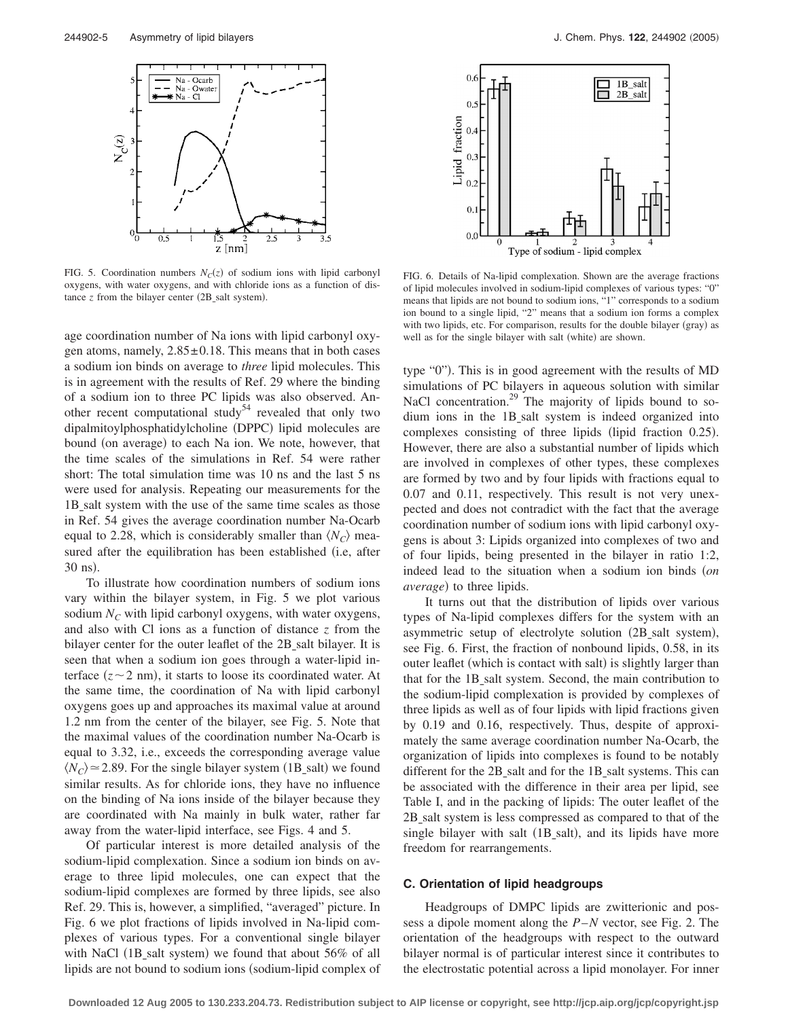

FIG. 5. Coordination numbers  $N<sub>C</sub>(z)$  of sodium ions with lipid carbonyl oxygens, with water oxygens, and with chloride ions as a function of distance  $z$  from the bilayer center  $(2B_s$ salt system).

age coordination number of Na ions with lipid carbonyl oxygen atoms, namely,  $2.85 \pm 0.18$ . This means that in both cases a sodium ion binds on average to *three* lipid molecules. This is in agreement with the results of Ref. 29 where the binding of a sodium ion to three PC lipids was also observed. Another recent computational study<sup>54</sup> revealed that only two dipalmitoylphosphatidylcholine (DPPC) lipid molecules are bound (on average) to each Na ion. We note, however, that the time scales of the simulations in Ref. 54 were rather short: The total simulation time was 10 ns and the last 5 ns were used for analysis. Repeating our measurements for the 1B salt system with the use of the same time scales as those in Ref. 54 gives the average coordination number Na-Ocarb equal to 2.28, which is considerably smaller than  $\langle N_C \rangle$  measured after the equilibration has been established (i.e, after 30 ns).

To illustrate how coordination numbers of sodium ions vary within the bilayer system, in Fig. 5 we plot various sodium  $N<sub>C</sub>$  with lipid carbonyl oxygens, with water oxygens, and also with Cl ions as a function of distance *z* from the bilayer center for the outer leaflet of the 2B<sub>salt bilayer.</sub> It is seen that when a sodium ion goes through a water-lipid interface  $(z \sim 2$  nm), it starts to loose its coordinated water. At the same time, the coordination of Na with lipid carbonyl oxygens goes up and approaches its maximal value at around 1.2 nm from the center of the bilayer, see Fig. 5. Note that the maximal values of the coordination number Na-Ocarb is equal to 3.32, i.e., exceeds the corresponding average value  $\langle N_C \rangle \approx 2.89$ . For the single bilayer system (1B\_salt) we found similar results. As for chloride ions, they have no influence on the binding of Na ions inside of the bilayer because they are coordinated with Na mainly in bulk water, rather far away from the water-lipid interface, see Figs. 4 and 5.

Of particular interest is more detailed analysis of the sodium-lipid complexation. Since a sodium ion binds on average to three lipid molecules, one can expect that the sodium-lipid complexes are formed by three lipids, see also Ref. 29. This is, however, a simplified, "averaged" picture. In Fig. 6 we plot fractions of lipids involved in Na-lipid complexes of various types. For a conventional single bilayer with NaCl (1B\_salt system) we found that about 56% of all lipids are not bound to sodium ions (sodium-lipid complex of



FIG. 6. Details of Na-lipid complexation. Shown are the average fractions of lipid molecules involved in sodium-lipid complexes of various types: "0" means that lipids are not bound to sodium ions, "1" corresponds to a sodium ion bound to a single lipid, "2" means that a sodium ion forms a complex with two lipids, etc. For comparison, results for the double bilayer (gray) as well as for the single bilayer with salt (white) are shown.

type "0"). This is in good agreement with the results of MD simulations of PC bilayers in aqueous solution with similar NaCl concentration.<sup>29</sup> The majority of lipids bound to sodium ions in the 1Bsalt system is indeed organized into complexes consisting of three lipids (lipid fraction 0.25). However, there are also a substantial number of lipids which are involved in complexes of other types, these complexes are formed by two and by four lipids with fractions equal to 0.07 and 0.11, respectively. This result is not very unexpected and does not contradict with the fact that the average coordination number of sodium ions with lipid carbonyl oxygens is about 3: Lipids organized into complexes of two and of four lipids, being presented in the bilayer in ratio 1:2, indeed lead to the situation when a sodium ion binds *on average*) to three lipids.

It turns out that the distribution of lipids over various types of Na-lipid complexes differs for the system with an asymmetric setup of electrolyte solution (2B\_salt system), see Fig. 6. First, the fraction of nonbound lipids, 0.58, in its outer leaflet (which is contact with salt) is slightly larger than that for the 1B\_salt system. Second, the main contribution to the sodium-lipid complexation is provided by complexes of three lipids as well as of four lipids with lipid fractions given by 0.19 and 0.16, respectively. Thus, despite of approximately the same average coordination number Na-Ocarb, the organization of lipids into complexes is found to be notably different for the 2B\_salt and for the 1B\_salt systems. This can be associated with the difference in their area per lipid, see Table I, and in the packing of lipids: The outer leaflet of the 2B salt system is less compressed as compared to that of the single bilayer with salt (1B\_salt), and its lipids have more freedom for rearrangements.

#### **C. Orientation of lipid headgroups**

Headgroups of DMPC lipids are zwitterionic and possess a dipole moment along the *P*–*N* vector, see Fig. 2. The orientation of the headgroups with respect to the outward bilayer normal is of particular interest since it contributes to the electrostatic potential across a lipid monolayer. For inner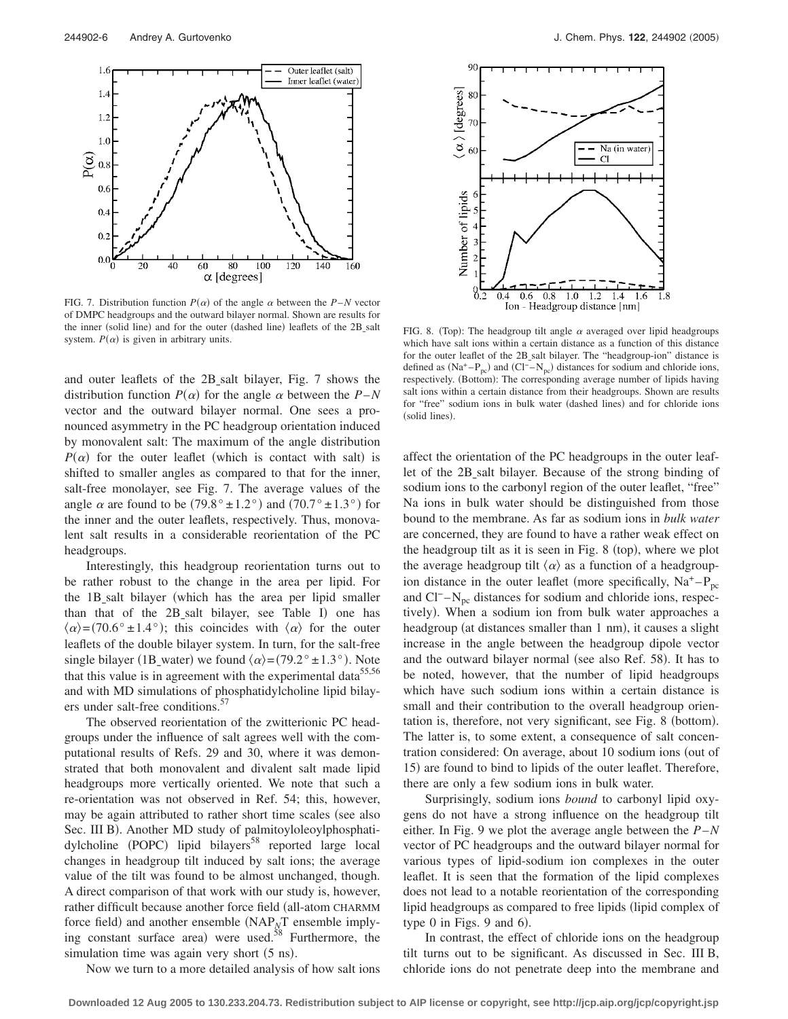

FIG. 7. Distribution function  $P(\alpha)$  of the angle  $\alpha$  between the *P*–*N* vector of DMPC headgroups and the outward bilayer normal. Shown are results for the inner (solid line) and for the outer (dashed line) leaflets of the 2B\_salt system.  $P(\alpha)$  is given in arbitrary units.

and outer leaflets of the 2Bsalt bilayer, Fig. 7 shows the distribution function  $P(\alpha)$  for the angle  $\alpha$  between the  $P-N$ vector and the outward bilayer normal. One sees a pronounced asymmetry in the PC headgroup orientation induced by monovalent salt: The maximum of the angle distribution  $P(\alpha)$  for the outer leaflet (which is contact with salt) is shifted to smaller angles as compared to that for the inner, salt-free monolayer, see Fig. 7. The average values of the angle  $\alpha$  are found to be (79.8°  $\pm$ 1.2°) and (70.7°  $\pm$ 1.3°) for the inner and the outer leaflets, respectively. Thus, monovalent salt results in a considerable reorientation of the PC headgroups.

Interestingly, this headgroup reorientation turns out to be rather robust to the change in the area per lipid. For the 1Bsalt bilayer which has the area per lipid smaller than that of the 2B\_salt bilayer, see Table I) one has  $\langle \alpha \rangle = (70.6^{\circ} \pm 1.4^{\circ})$ ; this coincides with  $\langle \alpha \rangle$  for the outer leaflets of the double bilayer system. In turn, for the salt-free single bilayer (1B\_water) we found  $\langle \alpha \rangle = (79.2^\circ \pm 1.3^\circ)$ . Note that this value is in agreement with the experimental data<sup>55,56</sup> and with MD simulations of phosphatidylcholine lipid bilayers under salt-free conditions.<sup>5</sup>

The observed reorientation of the zwitterionic PC headgroups under the influence of salt agrees well with the computational results of Refs. 29 and 30, where it was demonstrated that both monovalent and divalent salt made lipid headgroups more vertically oriented. We note that such a re-orientation was not observed in Ref. 54; this, however, may be again attributed to rather short time scales (see also Sec. III B). Another MD study of palmitoyloleoylphosphatidylcholine (POPC) lipid bilayers<sup>58</sup> reported large local changes in headgroup tilt induced by salt ions; the average value of the tilt was found to be almost unchanged, though. A direct comparison of that work with our study is, however, rather difficult because another force field (all-atom CHARMM force field) and another ensemble (NAP<sub>*N*</sub>T ensemble implying constant surface area) were used. $58$  Furthermore, the simulation time was again very short (5 ns).



FIG. 8. (Top): The headgroup tilt angle  $\alpha$  averaged over lipid headgroups which have salt ions within a certain distance as a function of this distance for the outer leaflet of the 2B\_salt bilayer. The "headgroup-ion" distance is defined as  $(Na^+ - P_{pc})$  and  $(Cl^- - N_{pc})$  distances for sodium and chloride ions, respectively. (Bottom): The corresponding average number of lipids having salt ions within a certain distance from their headgroups. Shown are results for "free" sodium ions in bulk water (dashed lines) and for chloride ions (solid lines).

affect the orientation of the PC headgroups in the outer leaflet of the 2B\_salt bilayer. Because of the strong binding of sodium ions to the carbonyl region of the outer leaflet, "free" Na ions in bulk water should be distinguished from those bound to the membrane. As far as sodium ions in *bulk water* are concerned, they are found to have a rather weak effect on the headgroup tilt as it is seen in Fig. 8 (top), where we plot the average headgroup tilt  $\langle \alpha \rangle$  as a function of a headgroupion distance in the outer leaflet (more specifically,  $Na^+ - P_{nc}$ and  $Cl^- - N_{pc}$  distances for sodium and chloride ions, respectively). When a sodium ion from bulk water approaches a headgroup (at distances smaller than 1 nm), it causes a slight increase in the angle between the headgroup dipole vector and the outward bilayer normal (see also Ref. 58). It has to be noted, however, that the number of lipid headgroups which have such sodium ions within a certain distance is small and their contribution to the overall headgroup orientation is, therefore, not very significant, see Fig. 8 (bottom). The latter is, to some extent, a consequence of salt concentration considered: On average, about 10 sodium ions (out of 15) are found to bind to lipids of the outer leaflet. Therefore, there are only a few sodium ions in bulk water.

Surprisingly, sodium ions *bound* to carbonyl lipid oxygens do not have a strong influence on the headgroup tilt either. In Fig. 9 we plot the average angle between the *P*–*N* vector of PC headgroups and the outward bilayer normal for various types of lipid-sodium ion complexes in the outer leaflet. It is seen that the formation of the lipid complexes does not lead to a notable reorientation of the corresponding lipid headgroups as compared to free lipids (lipid complex of type  $0$  in Figs. 9 and  $6$ ).

In contrast, the effect of chloride ions on the headgroup tilt turns out to be significant. As discussed in Sec. III B, chloride ions do not penetrate deep into the membrane and

Now we turn to a more detailed analysis of how salt ions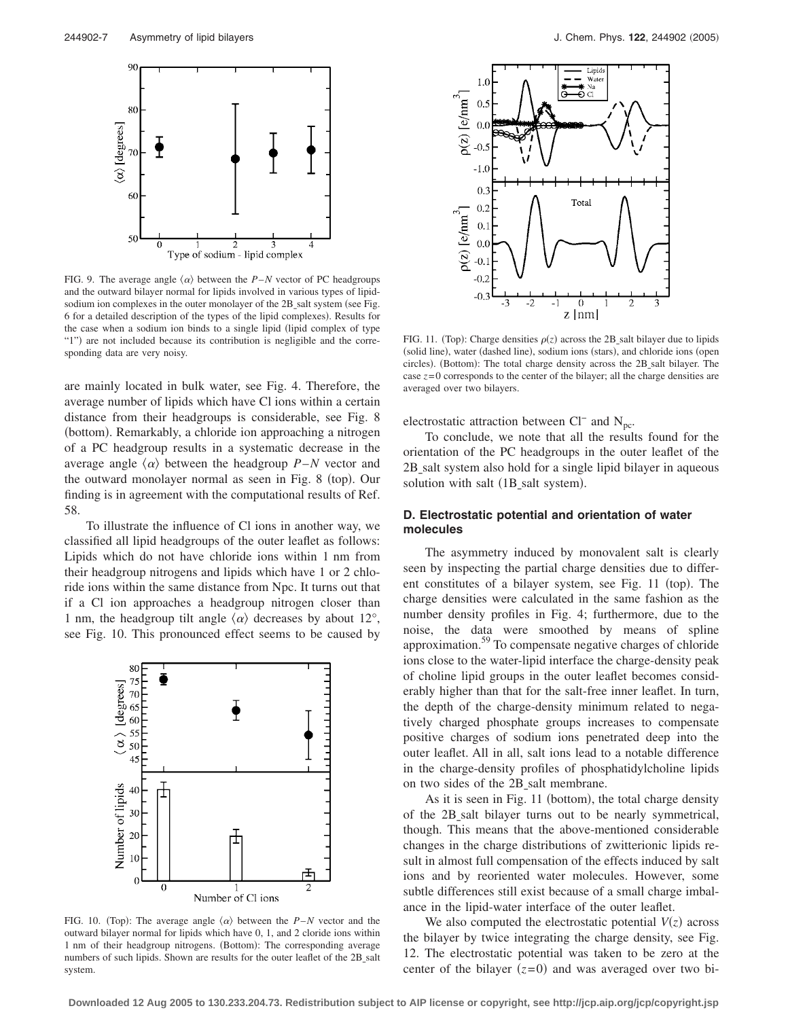

FIG. 9. The average angle  $\langle \alpha \rangle$  between the *P–N* vector of PC headgroups and the outward bilayer normal for lipids involved in various types of lipidsodium ion complexes in the outer monolayer of the 2B\_salt system (see Fig. 6 for a detailed description of the types of the lipid complexes). Results for the case when a sodium ion binds to a single lipid (lipid complex of type "1") are not included because its contribution is negligible and the corresponding data are very noisy.

are mainly located in bulk water, see Fig. 4. Therefore, the average number of lipids which have Cl ions within a certain distance from their headgroups is considerable, see Fig. 8 (bottom). Remarkably, a chloride ion approaching a nitrogen of a PC headgroup results in a systematic decrease in the average angle  $\langle \alpha \rangle$  between the headgroup *P*–*N* vector and the outward monolayer normal as seen in Fig. 8 (top). Our finding is in agreement with the computational results of Ref. 58.

To illustrate the influence of Cl ions in another way, we classified all lipid headgroups of the outer leaflet as follows: Lipids which do not have chloride ions within 1 nm from their headgroup nitrogens and lipids which have 1 or 2 chloride ions within the same distance from Npc. It turns out that if a Cl ion approaches a headgroup nitrogen closer than 1 nm, the headgroup tilt angle  $\langle \alpha \rangle$  decreases by about 12°, see Fig. 10. This pronounced effect seems to be caused by



FIG. 10. (Top): The average angle  $\langle \alpha \rangle$  between the *P*–*N* vector and the outward bilayer normal for lipids which have 0, 1, and 2 cloride ions within 1 nm of their headgroup nitrogens. (Bottom): The corresponding average numbers of such lipids. Shown are results for the outer leaflet of the 2B\_salt system.



FIG. 11. (Top): Charge densities  $\rho(z)$  across the 2B\_salt bilayer due to lipids (solid line), water (dashed line), sodium ions (stars), and chloride ions (open circles). (Bottom): The total charge density across the 2B\_salt bilayer. The case  $z=0$  corresponds to the center of the bilayer; all the charge densities are averaged over two bilayers.

electrostatic attraction between Cl<sup>−</sup> and  $N<sub>pc</sub>$ .

To conclude, we note that all the results found for the orientation of the PC headgroups in the outer leaflet of the 2B salt system also hold for a single lipid bilayer in aqueous solution with salt (1B\_salt system).

## **D. Electrostatic potential and orientation of water molecules**

The asymmetry induced by monovalent salt is clearly seen by inspecting the partial charge densities due to different constitutes of a bilayer system, see Fig. 11 (top). The charge densities were calculated in the same fashion as the number density profiles in Fig. 4; furthermore, due to the noise, the data were smoothed by means of spline approximation.59 To compensate negative charges of chloride ions close to the water-lipid interface the charge-density peak of choline lipid groups in the outer leaflet becomes considerably higher than that for the salt-free inner leaflet. In turn, the depth of the charge-density minimum related to negatively charged phosphate groups increases to compensate positive charges of sodium ions penetrated deep into the outer leaflet. All in all, salt ions lead to a notable difference in the charge-density profiles of phosphatidylcholine lipids on two sides of the 2B salt membrane.

As it is seen in Fig. 11 (bottom), the total charge density of the 2Bsalt bilayer turns out to be nearly symmetrical, though. This means that the above-mentioned considerable changes in the charge distributions of zwitterionic lipids result in almost full compensation of the effects induced by salt ions and by reoriented water molecules. However, some subtle differences still exist because of a small charge imbalance in the lipid-water interface of the outer leaflet.

We also computed the electrostatic potential  $V(z)$  across the bilayer by twice integrating the charge density, see Fig. 12. The electrostatic potential was taken to be zero at the center of the bilayer  $(z=0)$  and was averaged over two bi-

**Downloaded 12 Aug 2005 to 130.233.204.73. Redistribution subject to AIP license or copyright, see http://jcp.aip.org/jcp/copyright.jsp**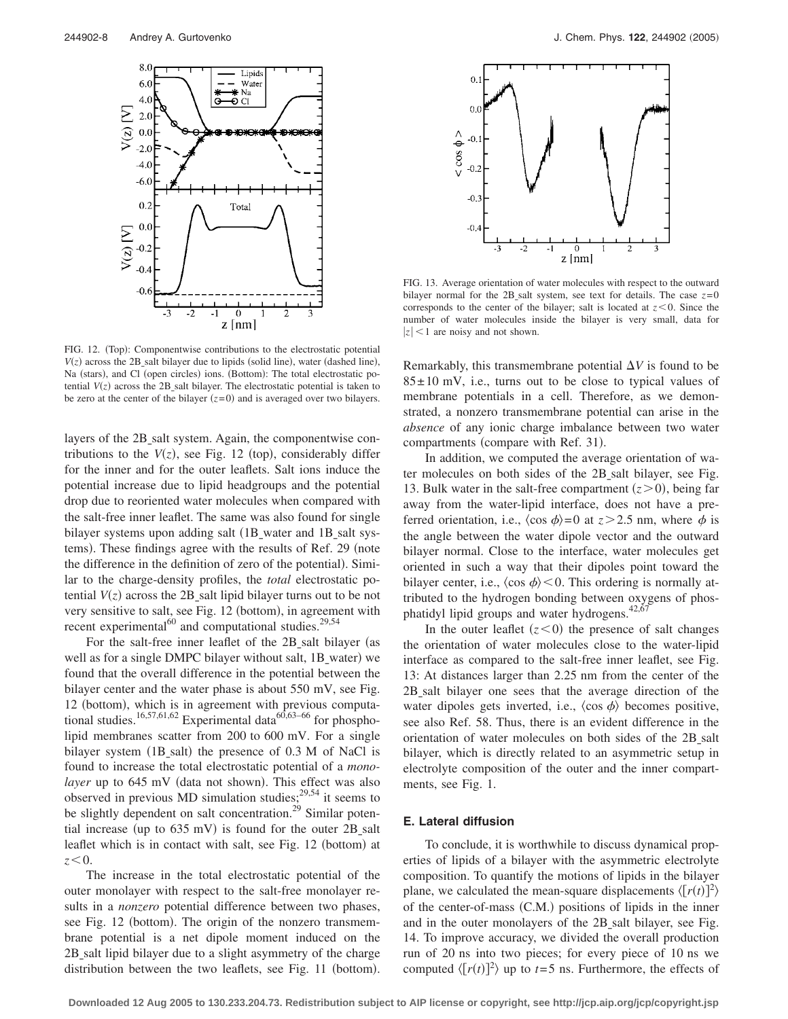

FIG. 12. (Top): Componentwise contributions to the electrostatic potential  $V(z)$  across the 2B\_salt bilayer due to lipids (solid line), water (dashed line), Na (stars), and Cl (open circles) ions. (Bottom): The total electrostatic potential  $V(z)$  across the 2B\_salt bilayer. The electrostatic potential is taken to be zero at the center of the bilayer  $(z=0)$  and is averaged over two bilayers.

layers of the 2B<sub>salt</sub> system. Again, the componentwise contributions to the  $V(z)$ , see Fig. 12 (top), considerably differ for the inner and for the outer leaflets. Salt ions induce the potential increase due to lipid headgroups and the potential drop due to reoriented water molecules when compared with the salt-free inner leaflet. The same was also found for single bilayer systems upon adding salt (1B water and 1B salt systems). These findings agree with the results of Ref. 29 (note the difference in the definition of zero of the potential). Similar to the charge-density profiles, the *total* electrostatic potential  $V(z)$  across the 2B<sub>-</sub>salt lipid bilayer turns out to be not very sensitive to salt, see Fig. 12 (bottom), in agreement with recent experimental $^{60}$  and computational studies.<sup>29,54</sup>

For the salt-free inner leaflet of the 2B\_salt bilayer (as well as for a single DMPC bilayer without salt, 1B\_water) we found that the overall difference in the potential between the bilayer center and the water phase is about 550 mV, see Fig. 12 (bottom), which is in agreement with previous computational studies.<sup>16,57,61,62</sup> Experimental data<sup>60,63–66</sup> for phospholipid membranes scatter from 200 to 600 mV. For a single bilayer system (1B\_salt) the presence of 0.3 M of NaCl is found to increase the total electrostatic potential of a *mono*layer up to 645 mV (data not shown). This effect was also observed in previous MD simulation studies;  $2^{9,54}$  it seems to be slightly dependent on salt concentration.<sup>29</sup> Similar potential increase (up to  $635$  mV) is found for the outer  $2B$ \_salt leaflet which is in contact with salt, see Fig. 12 (bottom) at  $z < 0$ .

The increase in the total electrostatic potential of the outer monolayer with respect to the salt-free monolayer results in a *nonzero* potential difference between two phases, see Fig. 12 (bottom). The origin of the nonzero transmembrane potential is a net dipole moment induced on the 2B salt lipid bilayer due to a slight asymmetry of the charge distribution between the two leaflets, see Fig. 11 (bottom).



FIG. 13. Average orientation of water molecules with respect to the outward bilayer normal for the 2B salt system, see text for details. The case  $z=0$ corresponds to the center of the bilayer; salt is located at  $z < 0$ . Since the number of water molecules inside the bilayer is very small, data for  $|z|$  < 1 are noisy and not shown.

Remarkably, this transmembrane potential  $\Delta V$  is found to be  $85 \pm 10$  mV, i.e., turns out to be close to typical values of membrane potentials in a cell. Therefore, as we demonstrated, a nonzero transmembrane potential can arise in the *absence* of any ionic charge imbalance between two water compartments (compare with Ref. 31).

In addition, we computed the average orientation of water molecules on both sides of the 2B salt bilayer, see Fig. 13. Bulk water in the salt-free compartment  $(z>0)$ , being far away from the water-lipid interface, does not have a preferred orientation, i.e.,  $\langle \cos \phi \rangle = 0$  at  $z > 2.5$  nm, where  $\phi$  is the angle between the water dipole vector and the outward bilayer normal. Close to the interface, water molecules get oriented in such a way that their dipoles point toward the bilayer center, i.e.,  $\langle \cos \phi \rangle \langle 0$ . This ordering is normally attributed to the hydrogen bonding between oxygens of phosphatidyl lipid groups and water hydrogens. $42,67$ 

In the outer leaflet  $(z < 0)$  the presence of salt changes the orientation of water molecules close to the water-lipid interface as compared to the salt-free inner leaflet, see Fig. 13: At distances larger than 2.25 nm from the center of the 2Bsalt bilayer one sees that the average direction of the water dipoles gets inverted, i.e.,  $\langle \cos \phi \rangle$  becomes positive, see also Ref. 58. Thus, there is an evident difference in the orientation of water molecules on both sides of the 2B salt bilayer, which is directly related to an asymmetric setup in electrolyte composition of the outer and the inner compartments, see Fig. 1.

## **E. Lateral diffusion**

To conclude, it is worthwhile to discuss dynamical properties of lipids of a bilayer with the asymmetric electrolyte composition. To quantify the motions of lipids in the bilayer plane, we calculated the mean-square displacements  $\langle [r(t)]^2 \rangle$ of the center-of-mass (C.M.) positions of lipids in the inner and in the outer monolayers of the 2B salt bilayer, see Fig. 14. To improve accuracy, we divided the overall production run of 20 ns into two pieces; for every piece of 10 ns we computed  $\langle [r(t)]^2 \rangle$  up to *t*=5 ns. Furthermore, the effects of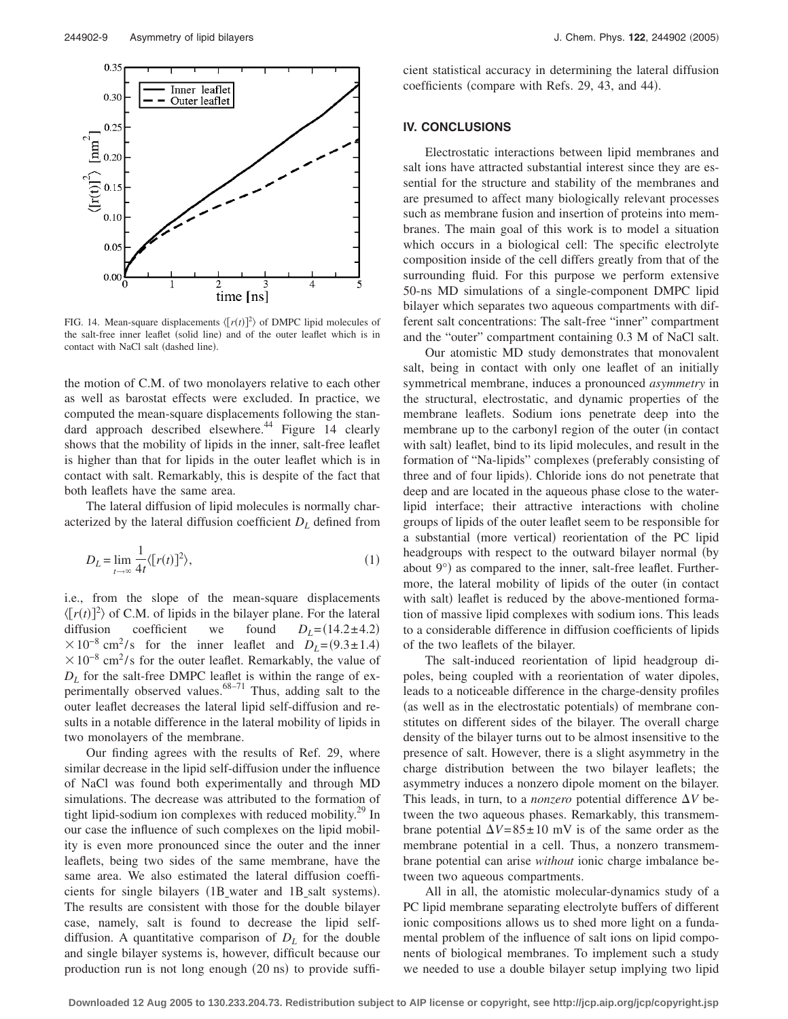

FIG. 14. Mean-square displacements  $\langle [r(t)]^2 \rangle$  of DMPC lipid molecules of the salt-free inner leaflet (solid line) and of the outer leaflet which is in contact with NaCl salt (dashed line).

the motion of C.M. of two monolayers relative to each other as well as barostat effects were excluded. In practice, we computed the mean-square displacements following the standard approach described elsewhere.<sup>44</sup> Figure 14 clearly shows that the mobility of lipids in the inner, salt-free leaflet is higher than that for lipids in the outer leaflet which is in contact with salt. Remarkably, this is despite of the fact that both leaflets have the same area.

The lateral diffusion of lipid molecules is normally characterized by the lateral diffusion coefficient *DL* defined from

$$
D_L = \lim_{t \to \infty} \frac{1}{4t} \langle [r(t)]^2 \rangle, \tag{1}
$$

i.e., from the slope of the mean-square displacements  $\langle [r(t)]^2 \rangle$  of C.M. of lipids in the bilayer plane. For the lateral diffusion coefficient we found  $D_L = (14.2 \pm 4.2)$  $\times 10^{-8}$  cm<sup>2</sup>/s for the inner leaflet and  $D_L=(9.3\pm 1.4)$  $\times 10^{-8}$  cm<sup>2</sup>/s for the outer leaflet. Remarkably, the value of  $D_L$  for the salt-free DMPC leaflet is within the range of experimentally observed values. $68-71$  Thus, adding salt to the outer leaflet decreases the lateral lipid self-diffusion and results in a notable difference in the lateral mobility of lipids in two monolayers of the membrane.

Our finding agrees with the results of Ref. 29, where similar decrease in the lipid self-diffusion under the influence of NaCl was found both experimentally and through MD simulations. The decrease was attributed to the formation of tight lipid-sodium ion complexes with reduced mobility.<sup>29</sup> In our case the influence of such complexes on the lipid mobility is even more pronounced since the outer and the inner leaflets, being two sides of the same membrane, have the same area. We also estimated the lateral diffusion coefficients for single bilayers (1B\_water and 1B\_salt systems). The results are consistent with those for the double bilayer case, namely, salt is found to decrease the lipid selfdiffusion. A quantitative comparison of  $D<sub>L</sub>$  for the double and single bilayer systems is, however, difficult because our production run is not long enough (20 ns) to provide sufficient statistical accuracy in determining the lateral diffusion coefficients (compare with Refs. 29, 43, and 44).

## **IV. CONCLUSIONS**

Electrostatic interactions between lipid membranes and salt ions have attracted substantial interest since they are essential for the structure and stability of the membranes and are presumed to affect many biologically relevant processes such as membrane fusion and insertion of proteins into membranes. The main goal of this work is to model a situation which occurs in a biological cell: The specific electrolyte composition inside of the cell differs greatly from that of the surrounding fluid. For this purpose we perform extensive 50-ns MD simulations of a single-component DMPC lipid bilayer which separates two aqueous compartments with different salt concentrations: The salt-free "inner" compartment and the "outer" compartment containing 0.3 M of NaCl salt.

Our atomistic MD study demonstrates that monovalent salt, being in contact with only one leaflet of an initially symmetrical membrane, induces a pronounced *asymmetry* in the structural, electrostatic, and dynamic properties of the membrane leaflets. Sodium ions penetrate deep into the membrane up to the carbonyl region of the outer (in contact with salt) leaflet, bind to its lipid molecules, and result in the formation of "Na-lipids" complexes (preferably consisting of three and of four lipids). Chloride ions do not penetrate that deep and are located in the aqueous phase close to the waterlipid interface; their attractive interactions with choline groups of lipids of the outer leaflet seem to be responsible for a substantial (more vertical) reorientation of the PC lipid headgroups with respect to the outward bilayer normal (by about 9°) as compared to the inner, salt-free leaflet. Furthermore, the lateral mobility of lipids of the outer (in contact with salt) leaflet is reduced by the above-mentioned formation of massive lipid complexes with sodium ions. This leads to a considerable difference in diffusion coefficients of lipids of the two leaflets of the bilayer.

The salt-induced reorientation of lipid headgroup dipoles, being coupled with a reorientation of water dipoles, leads to a noticeable difference in the charge-density profiles (as well as in the electrostatic potentials) of membrane constitutes on different sides of the bilayer. The overall charge density of the bilayer turns out to be almost insensitive to the presence of salt. However, there is a slight asymmetry in the charge distribution between the two bilayer leaflets; the asymmetry induces a nonzero dipole moment on the bilayer. This leads, in turn, to a *nonzero* potential difference  $\Delta V$  between the two aqueous phases. Remarkably, this transmembrane potential  $\Delta V = 85 \pm 10$  mV is of the same order as the membrane potential in a cell. Thus, a nonzero transmembrane potential can arise *without* ionic charge imbalance between two aqueous compartments.

All in all, the atomistic molecular-dynamics study of a PC lipid membrane separating electrolyte buffers of different ionic compositions allows us to shed more light on a fundamental problem of the influence of salt ions on lipid components of biological membranes. To implement such a study we needed to use a double bilayer setup implying two lipid